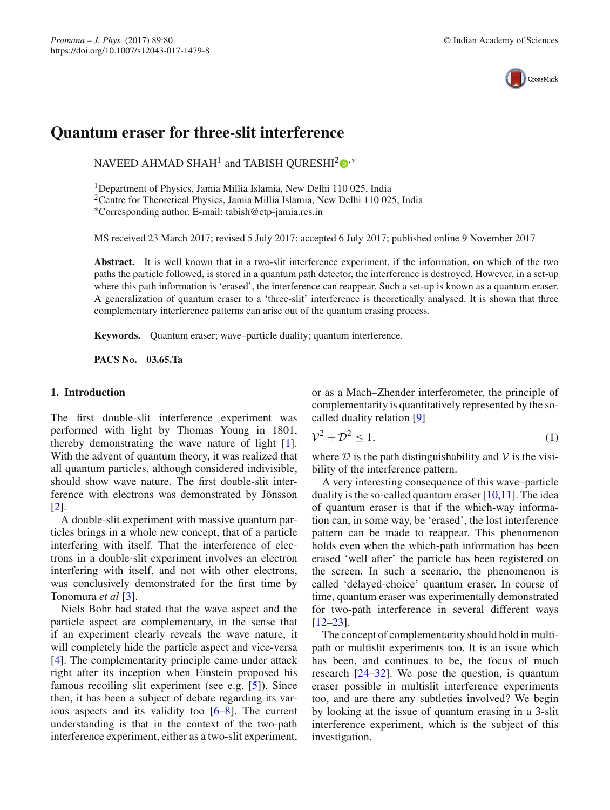

# **Quantum eraser for three-slit interference**

NAVEED AHMAD SHAH<sup>1</sup> and TABISH QURESHI<sup>[2](http://orcid.org/0000-0002-8452-1078)</sup> $\mathbb{D}^*$ 

1Department of Physics, Jamia Millia Islamia, New Delhi 110 025, India

2Centre for Theoretical Physics, Jamia Millia Islamia, New Delhi 110 025, India

∗Corresponding author. E-mail: tabish@ctp-jamia.res.in

MS received 23 March 2017; revised 5 July 2017; accepted 6 July 2017; published online 9 November 2017

**Abstract.** It is well known that in a two-slit interference experiment, if the information, on which of the two paths the particle followed, is stored in a quantum path detector, the interference is destroyed. However, in a set-up where this path information is 'erased', the interference can reappear. Such a set-up is known as a quantum eraser. A generalization of quantum eraser to a 'three-slit' interference is theoretically analysed. It is shown that three complementary interference patterns can arise out of the quantum erasing process.

**Keywords.** Quantum eraser; wave–particle duality; quantum interference.

**PACS No. 03.65.Ta**

### **1. Introduction**

The first double-slit interference experiment was performed with light by Thomas Young in 1801, thereby demonstrating the wave nature of light  $[1]$  $[1]$ . With the advent of quantum theory, it was realized that all quantum particles, although considered indivisible, should show wave nature. The first double-slit interference with electrons was demonstrated by Jönsson [\[2\]](#page-4-1).

A double-slit experiment with massive quantum particles brings in a whole new concept, that of a particle interfering with itself. That the interference of electrons in a double-slit experiment involves an electron interfering with itself, and not with other electrons, was conclusively demonstrated for the first time by Tonomura *et al* [\[3](#page-4-2)].

Niels Bohr had stated that the wave aspect and the particle aspect are complementary, in the sense that if an experiment clearly reveals the wave nature, it will completely hide the particle aspect and vice-versa [\[4\]](#page-4-3). The complementarity principle came under attack right after its inception when Einstein proposed his famous recoiling slit experiment (see e.g. [\[5\]](#page-4-4)). Since then, it has been a subject of debate regarding its various aspects and its validity too [\[6](#page-4-5)[–8](#page-4-6)]. The current understanding is that in the context of the two-path interference experiment, either as a two-slit experiment,

or as a Mach–Zhender interferometer, the principle of complementarity is quantitatively represented by the socalled duality relation [\[9](#page-4-7)]

$$
\mathcal{V}^2 + \mathcal{D}^2 \le 1,\tag{1}
$$

where  $D$  is the path distinguishability and  $V$  is the visibility of the interference pattern.

A very interesting consequence of this wave–particle duality is the so-called quantum eraser  $[10,11]$  $[10,11]$ . The idea of quantum eraser is that if the which-way information can, in some way, be 'erased', the lost interference pattern can be made to reappear. This phenomenon holds even when the which-path information has been erased 'well after' the particle has been registered on the screen. In such a scenario, the phenomenon is called 'delayed-choice' quantum eraser. In course of time, quantum eraser was experimentally demonstrated for two-path interference in several different ways [\[12](#page-4-10)[–23\]](#page-4-11).

The concept of complementarity should hold in multipath or multislit experiments too. It is an issue which has been, and continues to be, the focus of much research [\[24](#page-4-12)[–32\]](#page-5-0). We pose the question, is quantum eraser possible in multislit interference experiments too, and are there any subtleties involved? We begin by looking at the issue of quantum erasing in a 3-slit interference experiment, which is the subject of this investigation.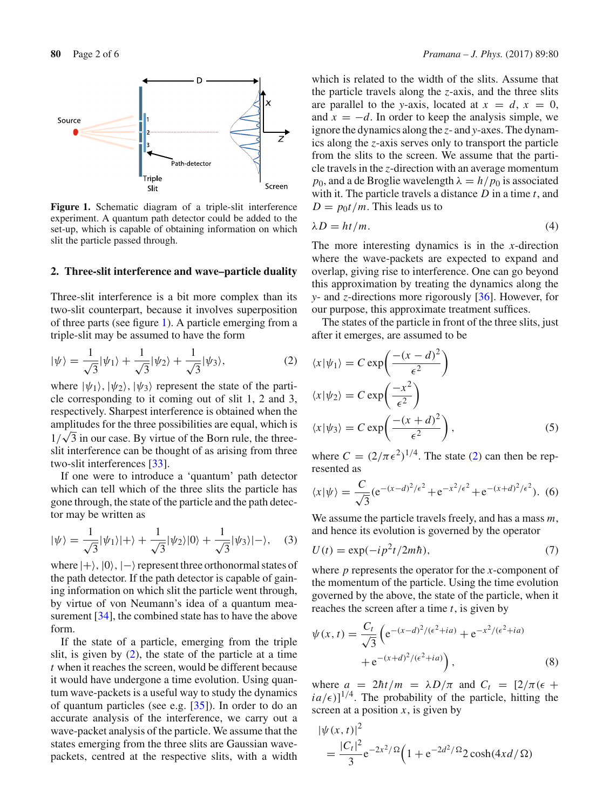

<span id="page-1-0"></span>**Figure 1.** Schematic diagram of a triple-slit interference experiment. A quantum path detector could be added to the set-up, which is capable of obtaining information on which slit the particle passed through.

#### **2. Three-slit interference and wave–particle duality**

Three-slit interference is a bit more complex than its two-slit counterpart, because it involves superposition of three parts (see figure [1\)](#page-1-0). A particle emerging from a triple-slit may be assumed to have the form

$$
|\psi\rangle = \frac{1}{\sqrt{3}}|\psi_1\rangle + \frac{1}{\sqrt{3}}|\psi_2\rangle + \frac{1}{\sqrt{3}}|\psi_3\rangle, \tag{2}
$$

where  $|\psi_1\rangle$ ,  $|\psi_2\rangle$ ,  $|\psi_3\rangle$  represent the state of the particle corresponding to it coming out of slit 1, 2 and 3, respectively. Sharpest interference is obtained when the amplitudes for the three possibilities are equal, which is  $1/\sqrt{3}$  in our case. By virtue of the Born rule, the threeslit interference can be thought of as arising from three two-slit interferences [\[33\]](#page-5-1).

If one were to introduce a 'quantum' path detector which can tell which of the three slits the particle has gone through, the state of the particle and the path detector may be written as

<span id="page-1-2"></span>
$$
|\psi\rangle = \frac{1}{\sqrt{3}}|\psi_1\rangle|+\rangle + \frac{1}{\sqrt{3}}|\psi_2\rangle|0\rangle + \frac{1}{\sqrt{3}}|\psi_3\rangle|-\rangle, \quad (3)
$$

where  $|+\rangle$ ,  $|0\rangle$ ,  $|-\rangle$  represent three orthonormal states of the path detector. If the path detector is capable of gaining information on which slit the particle went through, by virtue of von Neumann's idea of a quantum mea-surement [\[34\]](#page-5-2), the combined state has to have the above form.

If the state of a particle, emerging from the triple slit, is given by [\(2\)](#page-1-1), the state of the particle at a time *t* when it reaches the screen, would be different because it would have undergone a time evolution. Using quantum wave-packets is a useful way to study the dynamics of quantum particles (see e.g. [\[35](#page-5-3)]). In order to do an accurate analysis of the interference, we carry out a wave-packet analysis of the particle. We assume that the states emerging from the three slits are Gaussian wavepackets, centred at the respective slits, with a width which is related to the width of the slits. Assume that the particle travels along the *z*-axis, and the three slits are parallel to the *y*-axis, located at  $x = d$ ,  $x = 0$ , and  $x = -d$ . In order to keep the analysis simple, we ignore the dynamics along the *z*- and *y*-axes. The dynamics along the *z*-axis serves only to transport the particle from the slits to the screen. We assume that the particle travels in the *z*-direction with an average momentum *p*<sub>0</sub>, and a de Broglie wavelength  $\lambda = h/p_0$  is associated with it. The particle travels a distance *D* in a time *t*, and  $D = p_0 t / m$ . This leads us to

$$
\lambda D = ht/m. \tag{4}
$$

The more interesting dynamics is in the *x*-direction where the wave-packets are expected to expand and overlap, giving rise to interference. One can go beyond this approximation by treating the dynamics along the *y*- and *z*-directions more rigorously [\[36](#page-5-4)]. However, for our purpose, this approximate treatment suffices.

<span id="page-1-1"></span>The states of the particle in front of the three slits, just after it emerges, are assumed to be

$$
\langle x|\psi_1\rangle = C \exp\left(\frac{-(x-d)^2}{\epsilon^2}\right)
$$
  

$$
\langle x|\psi_2\rangle = C \exp\left(\frac{-x^2}{\epsilon^2}\right)
$$
  

$$
\langle x|\psi_3\rangle = C \exp\left(\frac{-(x+d)^2}{\epsilon^2}\right),
$$
 (5)

where  $C = (2/\pi \epsilon^2)^{1/4}$ . The state [\(2\)](#page-1-1) can then be represented as

$$
\langle x|\psi\rangle = \frac{C}{\sqrt{3}} (e^{-(x-d)^2/\epsilon^2} + e^{-x^2/\epsilon^2} + e^{-(x+d)^2/\epsilon^2}).
$$
 (6)

We assume the particle travels freely, and has a mass *m*, and hence its evolution is governed by the operator

$$
U(t) = \exp(-ip^2t/2m\hbar),\tag{7}
$$

where *p* represents the operator for the *x*-component of the momentum of the particle. Using the time evolution governed by the above, the state of the particle, when it reaches the screen after a time *t*, is given by

$$
\psi(x,t) = \frac{C_t}{\sqrt{3}} \left( e^{-(x-d)^2/(\epsilon^2 + ia)} + e^{-x^2/(\epsilon^2 + ia)} + e^{-(x+d)^2/(\epsilon^2 + ia)} \right),
$$
\n(8)

where  $a = 2\hbar t/m = \lambda D/\pi$  and  $C_t = [2/\pi(\epsilon +$  $ia/\epsilon$ ]<sup>1/4</sup>. The probability of the particle, hitting the screen at a position  $x$ , is given by

<span id="page-1-3"></span>
$$
|\psi(x, t)|^2
$$
  
=  $\frac{|C_t|^2}{3} e^{-2x^2/\Omega} \Big( 1 + e^{-2d^2/\Omega} 2 \cosh(4x d/\Omega)$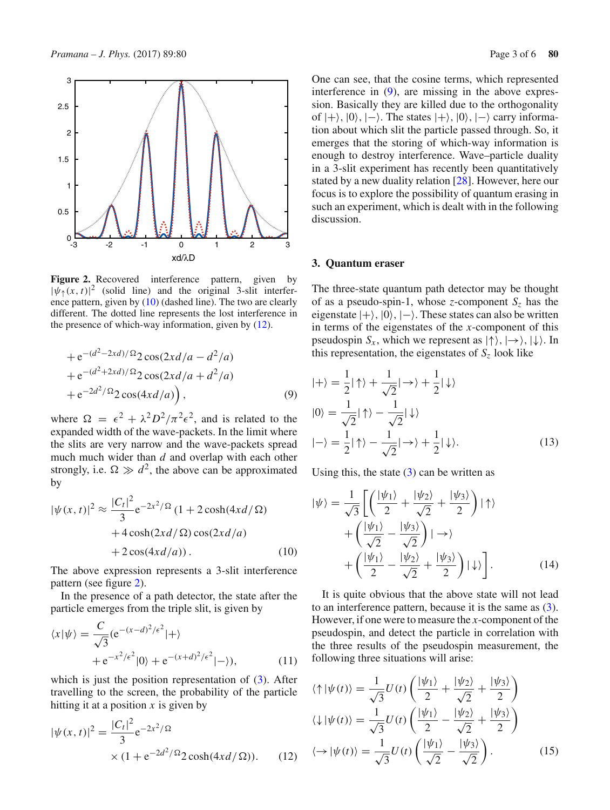

<span id="page-2-2"></span>Figure 2. Recovered interference pattern, given by  $|\psi_{\uparrow}(x, t)|^2$  (solid line) and the original 3-slit interference pattern, given by [\(10\)](#page-2-0) (dashed line). The two are clearly different. The dotted line represents the lost interference in the presence of which-way information, given by  $(12)$ .

+
$$
e^{-(d^2-2xd)/\Omega}
$$
2 cos(2xd/a - d<sup>2</sup>/a)  
+ $e^{-(d^2+2xd)/\Omega}$ 2 cos(2xd/a + d<sup>2</sup>/a)  
+ $e^{-2d^2/\Omega}$ 2 cos(4xd/a)), (9)

where  $\Omega = \epsilon^2 + \lambda^2 D^2 / \pi^2 \epsilon^2$ , and is related to the expanded width of the wave-packets. In the limit where the slits are very narrow and the wave-packets spread much much wider than *d* and overlap with each other strongly, i.e.  $\Omega \gg d^2$ , the above can be approximated by

<span id="page-2-0"></span>
$$
|\psi(x,t)|^2 \approx \frac{|C_t|^2}{3} e^{-2x^2/\Omega} (1 + 2 \cosh(4xd/\Omega)
$$
  
+ 
$$
4 \cosh(2xd/\Omega) \cos(2xd/a)
$$
  
+ 
$$
2 \cos(4xd/a)). \tag{10}
$$

The above expression represents a 3-slit interference pattern (see figure [2\)](#page-2-2).

In the presence of a path detector, the state after the particle emerges from the triple slit, is given by

$$
\langle x|\psi\rangle = \frac{C}{\sqrt{3}} (e^{-(x-d)^2/\epsilon^2}|+\rangle
$$
  
+  $e^{-x^2/\epsilon^2}|0\rangle + e^{-(x+d)^2/\epsilon^2}|-\rangle),$  (11)

which is just the position representation of  $(3)$ . After travelling to the screen, the probability of the particle hitting it at a position *x* is given by

<span id="page-2-1"></span>
$$
|\psi(x,t)|^2 = \frac{|C_t|^2}{3} e^{-2x^2/\Omega} \times (1 + e^{-2d^2/\Omega} 2 \cosh(4xd/\Omega)).
$$
 (12)

One can see, that the cosine terms, which represented interference in [\(9\)](#page-1-3), are missing in the above expression. Basically they are killed due to the orthogonality of  $|+\rangle$ ,  $|0\rangle$ ,  $|-\rangle$ . The states  $|+\rangle$ ,  $|0\rangle$ ,  $|-\rangle$  carry information about which slit the particle passed through. So, it emerges that the storing of which-way information is enough to destroy interference. Wave–particle duality in a 3-slit experiment has recently been quantitatively stated by a new duality relation [\[28\]](#page-5-5). However, here our focus is to explore the possibility of quantum erasing in such an experiment, which is dealt with in the following discussion.

#### **3. Quantum eraser**

The three-state quantum path detector may be thought of as a pseudo-spin-1, whose *z*-component  $S_z$  has the eigenstate  $|+\rangle$ ,  $|0\rangle$ ,  $|-\rangle$ . These states can also be written in terms of the eigenstates of the *x*-component of this pseudospin  $S_x$ , which we represent as  $|\uparrow\rangle, |\rightarrow\rangle, |\downarrow\rangle$ . In this representation, the eigenstates of  $S<sub>z</sub>$  look like

$$
|+\rangle = \frac{1}{2}|\uparrow\rangle + \frac{1}{\sqrt{2}}|\rightarrow\rangle + \frac{1}{2}|\downarrow\rangle
$$
  
\n
$$
|0\rangle = \frac{1}{\sqrt{2}}|\uparrow\rangle - \frac{1}{\sqrt{2}}|\downarrow\rangle
$$
  
\n
$$
|-\rangle = \frac{1}{2}|\uparrow\rangle - \frac{1}{\sqrt{2}}|\rightarrow\rangle + \frac{1}{2}|\downarrow\rangle.
$$
 (13)

Using this, the state  $(3)$  can be written as

$$
|\psi\rangle = \frac{1}{\sqrt{3}} \left[ \left( \frac{|\psi_1\rangle}{2} + \frac{|\psi_2\rangle}{\sqrt{2}} + \frac{|\psi_3\rangle}{2} \right) | \uparrow \rangle \right. \\
\left. + \left( \frac{|\psi_1\rangle}{\sqrt{2}} - \frac{|\psi_3\rangle}{\sqrt{2}} \right) | \to \rangle \\
\left. + \left( \frac{|\psi_1\rangle}{2} - \frac{|\psi_2\rangle}{\sqrt{2}} + \frac{|\psi_3\rangle}{2} \right) | \downarrow \rangle \right].
$$
\n(14)

It is quite obvious that the above state will not lead to an interference pattern, because it is the same as [\(3\)](#page-1-2). However, if one were to measure the *x*-component of the pseudospin, and detect the particle in correlation with the three results of the pseudospin measurement, the following three situations will arise:

$$
\langle \uparrow | \psi(t) \rangle = \frac{1}{\sqrt{3}} U(t) \left( \frac{|\psi_1\rangle}{2} + \frac{|\psi_2\rangle}{\sqrt{2}} + \frac{|\psi_3\rangle}{2} \right)
$$
  

$$
\langle \downarrow | \psi(t) \rangle = \frac{1}{\sqrt{3}} U(t) \left( \frac{|\psi_1\rangle}{2} - \frac{|\psi_2\rangle}{\sqrt{2}} + \frac{|\psi_3\rangle}{2} \right)
$$
  

$$
\langle \to | \psi(t) \rangle = \frac{1}{\sqrt{3}} U(t) \left( \frac{|\psi_1\rangle}{\sqrt{2}} - \frac{|\psi_3\rangle}{\sqrt{2}} \right).
$$
 (15)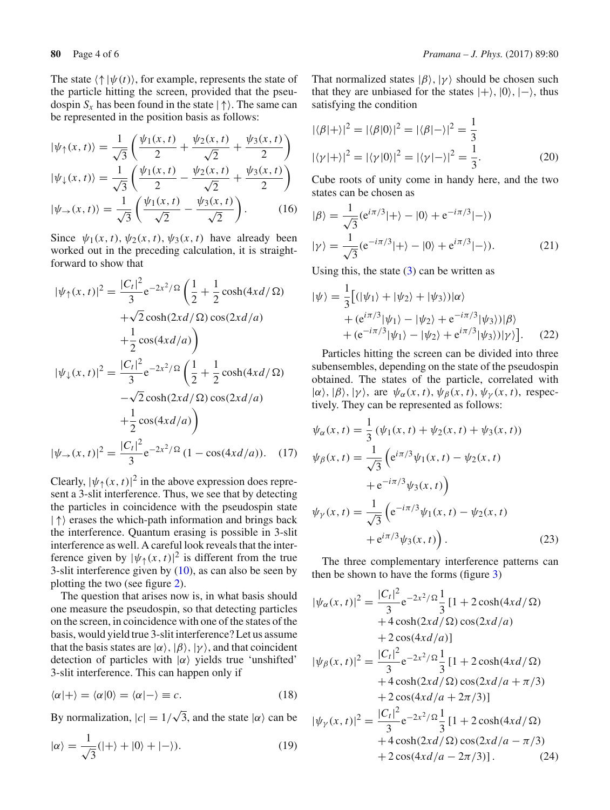The state  $\langle \uparrow | \psi(t) \rangle$ , for example, represents the state of the particle hitting the screen, provided that the pseudospin  $S_x$  has been found in the state  $|\uparrow\rangle$ . The same can be represented in the position basis as follows:

$$
|\psi_{\uparrow}(x,t)\rangle = \frac{1}{\sqrt{3}} \left( \frac{\psi_1(x,t)}{2} + \frac{\psi_2(x,t)}{\sqrt{2}} + \frac{\psi_3(x,t)}{2} \right)
$$
  

$$
|\psi_{\downarrow}(x,t)\rangle = \frac{1}{\sqrt{3}} \left( \frac{\psi_1(x,t)}{2} - \frac{\psi_2(x,t)}{\sqrt{2}} + \frac{\psi_3(x,t)}{2} \right)
$$
  

$$
|\psi_{\rightarrow}(x,t)\rangle = \frac{1}{\sqrt{3}} \left( \frac{\psi_1(x,t)}{\sqrt{2}} - \frac{\psi_3(x,t)}{\sqrt{2}} \right).
$$
 (16)

Since  $\psi_1(x, t)$ ,  $\psi_2(x, t)$ ,  $\psi_3(x, t)$  have already been worked out in the preceding calculation, it is straightforward to show that

$$
|\psi_{\uparrow}(x,t)|^2 = \frac{|C_t|^2}{3} e^{-2x^2/\Omega} \left( \frac{1}{2} + \frac{1}{2} \cosh(4xd/\Omega) + \sqrt{2} \cosh(2xd/\Omega) \cos(2xd/a) + \frac{1}{2} \cos(4xd/a) \right)
$$
  
+  $\sqrt{2} \cos(4xd/a) \right)$   

$$
|\psi_{\downarrow}(x,t)|^2 = \frac{|C_t|^2}{3} e^{-2x^2/\Omega} \left( \frac{1}{2} + \frac{1}{2} \cosh(4xd/\Omega) - \sqrt{2} \cosh(2xd/\Omega) \cos(2xd/a) + \frac{1}{2} \cos(4xd/a) \right)
$$
  

$$
|\psi_{\rightarrow}(x,t)|^2 = \frac{|C_t|^2}{3} e^{-2x^2/\Omega} (1 - \cos(4xd/a)). \quad (17)
$$

Clearly,  $|\psi_{\uparrow}(x, t)|^2$  in the above expression does represent a 3-slit interference. Thus, we see that by detecting the particles in coincidence with the pseudospin state  $|\uparrow\rangle$  erases the which-path information and brings back the interference. Quantum erasing is possible in 3-slit interference as well. A careful look reveals that the interference given by  $|\psi_{\uparrow}(x, t)|^2$  is different from the true 3-slit interference given by  $(10)$ , as can also be seen by plotting the two (see figure [2\)](#page-2-2).

The question that arises now is, in what basis should one measure the pseudospin, so that detecting particles on the screen, in coincidence with one of the states of the basis, would yield true 3-slit interference? Let us assume that the basis states are  $|\alpha\rangle$ ,  $|\beta\rangle$ ,  $|\gamma\rangle$ , and that coincident detection of particles with  $|\alpha\rangle$  yields true 'unshifted' 3-slit interference. This can happen only if

$$
\langle \alpha | + \rangle = \langle \alpha | 0 \rangle = \langle \alpha | - \rangle \equiv c. \tag{18}
$$

By normalization,  $|c| = 1/\sqrt{3}$ , and the state  $|\alpha\rangle$  can be

$$
|\alpha\rangle = \frac{1}{\sqrt{3}}(|+\rangle + |0\rangle + |-\rangle). \tag{19}
$$

That normalized states  $|\beta\rangle$ ,  $|\gamma\rangle$  should be chosen such that they are unbiased for the states  $|+\rangle$ ,  $|0\rangle$ ,  $|-\rangle$ , thus satisfying the condition

$$
|\langle \beta | + \rangle|^2 = |\langle \beta | 0 \rangle|^2 = |\langle \beta | - \rangle|^2 = \frac{1}{3}
$$
  

$$
|\langle \gamma | + \rangle|^2 = |\langle \gamma | 0 \rangle|^2 = |\langle \gamma | - \rangle|^2 = \frac{1}{3}.
$$
 (20)

Cube roots of unity come in handy here, and the two states can be chosen as

$$
|\beta\rangle = \frac{1}{\sqrt{3}} (e^{i\pi/3}|+\rangle - |0\rangle + e^{-i\pi/3}|-\rangle)
$$
  

$$
|\gamma\rangle = \frac{1}{\sqrt{3}} (e^{-i\pi/3}|+\rangle - |0\rangle + e^{i\pi/3}|-\rangle).
$$
 (21)

Using this, the state  $(3)$  can be written as

$$
|\psi\rangle = \frac{1}{3} \Big[ (|\psi_1\rangle + |\psi_2\rangle + |\psi_3\rangle) |\alpha\rangle
$$
  
+ 
$$
(\mathbf{e}^{i\pi/3}|\psi_1\rangle - |\psi_2\rangle + \mathbf{e}^{-i\pi/3}|\psi_3\rangle)|\beta\rangle
$$
  
+ 
$$
(\mathbf{e}^{-i\pi/3}|\psi_1\rangle - |\psi_2\rangle + \mathbf{e}^{i\pi/3}|\psi_3\rangle)|\gamma\rangle \Big].
$$
 (22)

Particles hitting the screen can be divided into three subensembles, depending on the state of the pseudospin obtained. The states of the particle, correlated with  $|\alpha\rangle$ ,  $|\beta\rangle$ ,  $|\gamma\rangle$ , are  $\psi_{\alpha}(x, t)$ ,  $\psi_{\beta}(x, t)$ ,  $\psi_{\gamma}(x, t)$ , respectively. They can be represented as follows:

$$
\psi_{\alpha}(x, t) = \frac{1}{3} (\psi_1(x, t) + \psi_2(x, t) + \psi_3(x, t))
$$
  

$$
\psi_{\beta}(x, t) = \frac{1}{\sqrt{3}} (e^{i\pi/3} \psi_1(x, t) - \psi_2(x, t) + e^{-i\pi/3} \psi_3(x, t))
$$
  

$$
\psi_{\gamma}(x, t) = \frac{1}{\sqrt{3}} (e^{-i\pi/3} \psi_1(x, t) - \psi_2(x, t) + e^{i\pi/3} \psi_3(x, t)).
$$
 (23)

The three complementary interference patterns can then be shown to have the forms (figure [3\)](#page-4-13)

<span id="page-3-0"></span>
$$
|\psi_{\alpha}(x,t)|^{2} = \frac{|C_{t}|^{2}}{3}e^{-2x^{2}/\Omega}\frac{1}{3}[1+2\cosh(4xd/\Omega)+4\cosh(2xd/\Omega)\cos(2xd/a)+2\cos(4xd/a)]
$$

$$
|\psi_{\beta}(x,t)|^{2} = \frac{|C_{t}|^{2}}{3}e^{-2x^{2}/\Omega}\frac{1}{3}[1+2\cosh(4xd/\Omega)+4\cosh(2xd/\Omega)\cos(2xd/a + \pi/3)+2\cos(4xd/a + 2\pi/3)]
$$

$$
|\psi_{\gamma}(x,t)|^{2} = \frac{|C_{t}|^{2}}{3}e^{-2x^{2}/\Omega}\frac{1}{3}[1+2\cosh(4xd/\Omega)+4\cosh(2xd/\Omega)\cos(2xd/a - \pi/3)+2\cos(4xd/a - 2\pi/3)].
$$
(24)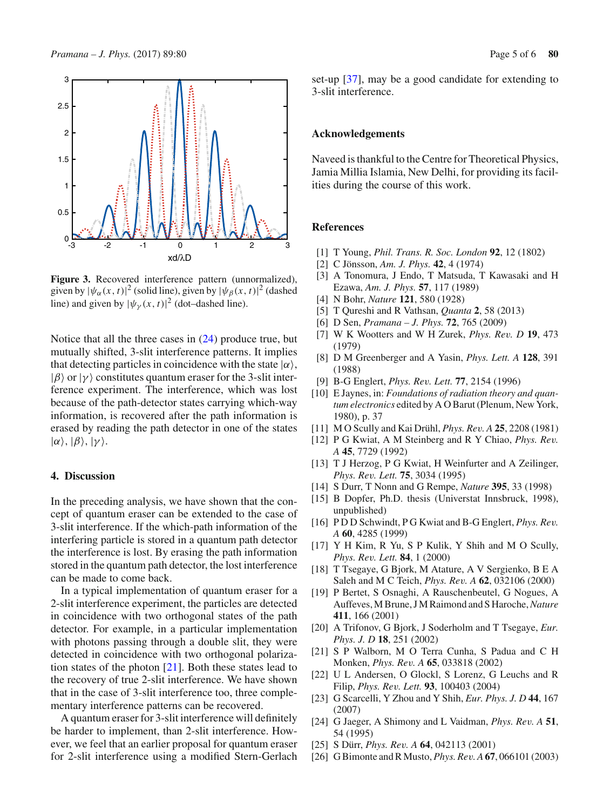

<span id="page-4-13"></span>**Figure 3.** Recovered interference pattern (unnormalized), given by  $|\psi_{\alpha}(x, t)|^2$  (solid line), given by  $|\psi_{\beta}(x, t)|^2$  (dashed line) and given by  $|\psi_{\gamma}(x, t)|^2$  (dot–dashed line).

Notice that all the three cases in [\(24\)](#page-3-0) produce true, but mutually shifted, 3-slit interference patterns. It implies that detecting particles in coincidence with the state  $|\alpha\rangle$ ,  $|\beta\rangle$  or  $|\gamma\rangle$  constitutes quantum eraser for the 3-slit interference experiment. The interference, which was lost because of the path-detector states carrying which-way information, is recovered after the path information is erased by reading the path detector in one of the states  $|\alpha\rangle$ ,  $|\beta\rangle$ ,  $|\gamma\rangle$ .

## **4. Discussion**

In the preceding analysis, we have shown that the concept of quantum eraser can be extended to the case of 3-slit interference. If the which-path information of the interfering particle is stored in a quantum path detector the interference is lost. By erasing the path information stored in the quantum path detector, the lost interference can be made to come back.

In a typical implementation of quantum eraser for a 2-slit interference experiment, the particles are detected in coincidence with two orthogonal states of the path detector. For example, in a particular implementation with photons passing through a double slit, they were detected in coincidence with two orthogonal polarization states of the photon [\[21\]](#page-4-14). Both these states lead to the recovery of true 2-slit interference. We have shown that in the case of 3-slit interference too, three complementary interference patterns can be recovered.

A quantum eraser for 3-slit interference will definitely be harder to implement, than 2-slit interference. However, we feel that an earlier proposal for quantum eraser for 2-slit interference using a modified Stern-Gerlach set-up [\[37](#page-5-6)], may be a good candidate for extending to 3-slit interference.

#### **Acknowledgements**

Naveed is thankful to the Centre for Theoretical Physics, Jamia Millia Islamia, New Delhi, for providing its facilities during the course of this work.

#### **References**

- <span id="page-4-0"></span>[1] T Young, *Phil. Trans. R. Soc. London* **92**, 12 (1802)
- <span id="page-4-1"></span>[2] C Jönsson, *Am. J. Phys.* **42**, 4 (1974)
- <span id="page-4-2"></span>[3] A Tonomura, J Endo, T Matsuda, T Kawasaki and H Ezawa, *Am. J. Phys.* **57**, 117 (1989)
- <span id="page-4-3"></span>[4] N Bohr, *Nature* **121**, 580 (1928)
- <span id="page-4-4"></span>[5] T Qureshi and R Vathsan, *Quanta* **2**, 58 (2013)
- <span id="page-4-5"></span>[6] D Sen, *Pramana – J. Phys.* **72**, 765 (2009)
- [7] W K Wootters and W H Zurek, *Phys. Rev. D* **19**, 473 (1979)
- <span id="page-4-6"></span>[8] D M Greenberger and A Yasin, *Phys. Lett. A* **128**, 391 (1988)
- <span id="page-4-7"></span>[9] B-G Englert, *Phys. Rev. Lett.* **77**, 2154 (1996)
- <span id="page-4-8"></span>[10] E Jaynes, in: *Foundations of radiation theory and quantum electronics* edited by A O Barut (Plenum, New York, 1980), p. 37
- <span id="page-4-9"></span>[11] M O Scully and Kai Drühl, *Phys. Rev. A* **25**, 2208 (1981)
- <span id="page-4-10"></span>[12] P G Kwiat, A M Steinberg and R Y Chiao, *Phys. Rev. A* **45**, 7729 (1992)
- [13] T J Herzog, P G Kwiat, H Weinfurter and A Zeilinger, *Phys. Rev. Lett.* **75**, 3034 (1995)
- [14] S Durr, T Nonn and G Rempe, *Nature* **395**, 33 (1998)
- [15] B Dopfer, Ph.D. thesis (Universtat Innsbruck, 1998), unpublished)
- [16] P D D Schwindt, P G Kwiat and B-G Englert, *Phys. Rev. A* **60**, 4285 (1999)
- [17] Y H Kim, R Yu, S P Kulik, Y Shih and M O Scully, *Phys. Rev. Lett.* **84**, 1 (2000)
- [18] T Tsegaye, G Bjork, M Atature, A V Sergienko, B E A Saleh and M C Teich, *Phys. Rev. A* **62**, 032106 (2000)
- [19] P Bertet, S Osnaghi, A Rauschenbeutel, G Nogues, A Auffeves, M Brune, J M Raimond and S Haroche,*Nature* **411**, 166 (2001)
- [20] A Trifonov, G Bjork, J Soderholm and T Tsegaye, *Eur. Phys. J. D* **18**, 251 (2002)
- <span id="page-4-14"></span>[21] S P Walborn, M O Terra Cunha, S Padua and C H Monken, *Phys. Rev. A* **65**, 033818 (2002)
- [22] U L Andersen, O Glockl, S Lorenz, G Leuchs and R Filip, *Phys. Rev. Lett.* **93**, 100403 (2004)
- <span id="page-4-11"></span>[23] G Scarcelli, Y Zhou and Y Shih, *Eur. Phys. J. D* **44**, 167 (2007)
- <span id="page-4-12"></span>[24] G Jaeger, A Shimony and L Vaidman, *Phys. Rev. A* **51**, 54 (1995)
- [25] S Dürr, *Phys. Rev. A* **64**, 042113 (2001)
- [26] G Bimonte and R Musto,*Phys. Rev. A***67**, 066101 (2003)